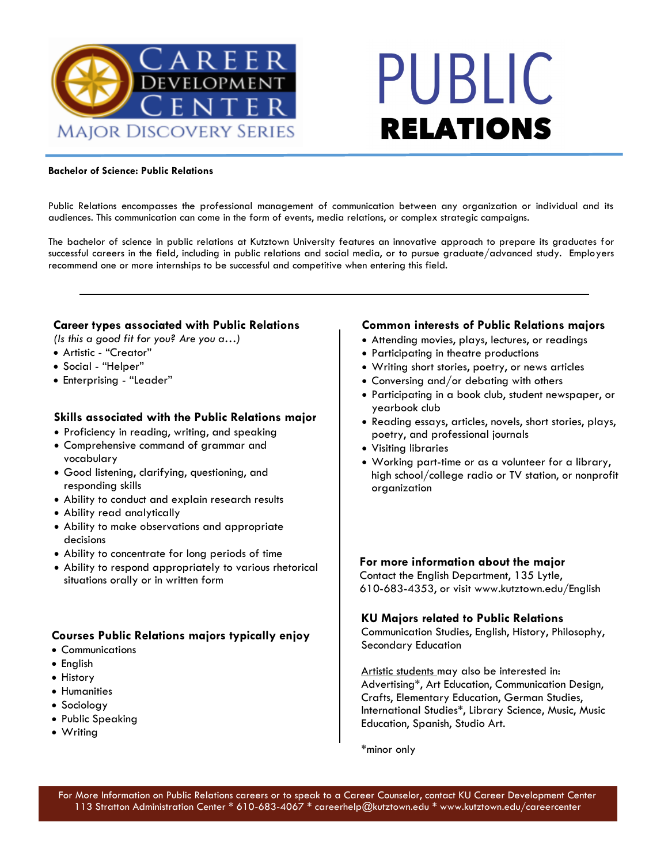

# PUBLIC **RELATIONS**

#### **Bachelor of Science: Public Relations**

Public Relations encompasses the professional management of communication between any organization or individual and its audiences. This communication can come in the form of events, media relations, or complex strategic campaigns.

The bachelor of science in public relations at Kutztown University features an innovative approach to prepare its graduates for successful careers in the field, including in public relations and social media, or to pursue graduate/advanced study. Employers recommend one or more internships to be successful and competitive when entering this field.

### **Career types associated with Public Relations**

- *(Is this a good fit for you? Are you a…)*
- Artistic "Creator"
- Social "Helper"
- Enterprising "Leader"

### **Skills associated with the Public Relations major**

- Proficiency in reading, writing, and speaking
- Comprehensive command of grammar and vocabulary
- Good listening, clarifying, questioning, and responding skills
- Ability to conduct and explain research results
- Ability read analytically
- Ability to make observations and appropriate decisions
- Ability to concentrate for long periods of time
- Ability to respond appropriately to various rhetorical situations orally or in written form

### **Courses Public Relations majors typically enjoy**

- Communications
- English
- History
- Humanities
- Sociology
- Public Speaking
- Writing

#### **Common interests of Public Relations majors**

- Attending movies, plays, lectures, or readings
- Participating in theatre productions
- Writing short stories, poetry, or news articles
- Conversing and/or debating with others
- Participating in a book club, student newspaper, or yearbook club
- Reading essays, articles, novels, short stories, plays, poetry, and professional journals
- Visiting libraries
- Working part-time or as a volunteer for a library, high school/college radio or TV station, or nonprofit organization

**For more information about the major**

Contact the English Department, 135 Lytle, 610-683-4353, or visit www.kutztown.edu/English

### **KU Majors related to Public Relations**

Communication Studies, English, History, Philosophy, Secondary Education

Artistic students may also be interested in: Advertising\*, Art Education, Communication Design, Crafts, Elementary Education, German Studies, International Studies\*, Library Science, Music, Music Education, Spanish, Studio Art.

\*minor only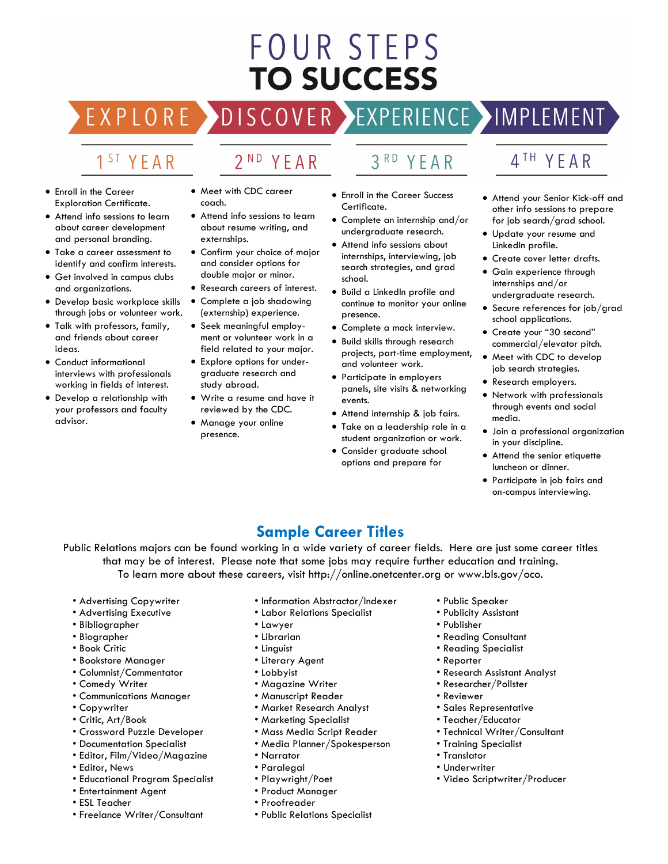## FOUR STEPS **TO SUCCESS**

### DISCOVER EXPERIENCE MOPLEMENT

2<sup>ND</sup> YEAR

### 1<sup>ST</sup> YEAR

EXPLORE >

- Enroll in the Career Exploration Certificate.
- Attend info sessions to learn about career development and personal branding.
- Take a career assessment to identify and confirm interests.
- Get involved in campus clubs and organizations.
- Develop basic workplace skills through jobs or volunteer work.
- Talk with professors, family, and friends about career ideas.
- Conduct informational interviews with professionals working in fields of interest.
- Develop a relationship with your professors and faculty advisor.
- Meet with CDC career coach.
- Attend info sessions to learn about resume writing, and externships.
- Confirm your choice of major and consider options for double major or minor.
- Research careers of interest.
- Complete a job shadowing (externship) experience.
- Seek meaningful employment or volunteer work in a field related to your major.
- Explore options for undergraduate research and study abroad.
- Write a resume and have it reviewed by the CDC.
- Manage your online presence.
- 3RD YEAR
- Enroll in the Career Success Certificate.
- Complete an internship and/or undergraduate research.
- Attend info sessions about internships, interviewing, job search strategies, and grad school.
- Build a LinkedIn profile and continue to monitor your online presence.
- Complete a mock interview.
- Build skills through research projects, part-time employment, and volunteer work.
- Participate in employers panels, site visits & networking events.
- Attend internship & job fairs.
- Take on a leadership role in a student organization or work.
- Consider graduate school options and prepare for

### 4TH YEAR

- Attend your Senior Kick-off and other info sessions to prepare for job search/grad school.
- Update your resume and LinkedIn profile.
- Create cover letter drafts.
- Gain experience through internships and/or undergraduate research.
- Secure references for job/grad school applications.
- Create your "30 second" commercial/elevator pitch.
- Meet with CDC to develop job search strategies.
- Research employers.
- Network with professionals through events and social media.
- Join a professional organization in your discipline.
- Attend the senior etiquette luncheon or dinner.
- Participate in job fairs and on-campus interviewing.

### **Sample Career Titles**

Public Relations majors can be found working in a wide variety of career fields. Here are just some career titles that may be of interest. Please note that some jobs may require further education and training. To learn more about these careers, visit http://online.onetcenter.org or www.bls.gov/oco.

- Advertising Copywriter
- Advertising Executive
- Bibliographer
- Biographer
- Book Critic
- Bookstore Manager
- Columnist/Commentator
- Comedy Writer
- Communications Manager
- Copywriter
- Critic, Art/Book
- Crossword Puzzle Developer
- Documentation Specialist
- Editor, Film/Video/Magazine
- Editor, News
- Educational Program Specialist
- Entertainment Agent
- ESL Teacher
- Freelance Writer/Consultant
- Information Abstractor/Indexer
- Labor Relations Specialist
- Lawyer
- Librarian
- Linguist
- Literary Agent
- Lobbyist
- Magazine Writer
- Manuscript Reader
- Market Research Analyst
- Marketing Specialist
- Mass Media Script Reader
- Media Planner/Spokesperson
- Narrator
- Paralegal
- Playwright/Poet
- Product Manager
- Proofreader
- Public Relations Specialist
- Public Speaker
- Publicity Assistant
- Publisher
- Reading Consultant
- Reading Specialist
- Reporter
- Research Assistant Analyst
- Researcher/Pollster
- Reviewer
- Sales Representative
- Teacher/Educator
- Technical Writer/Consultant
- Training Specialist
- Translator
- Underwriter
- Video Scriptwriter/Producer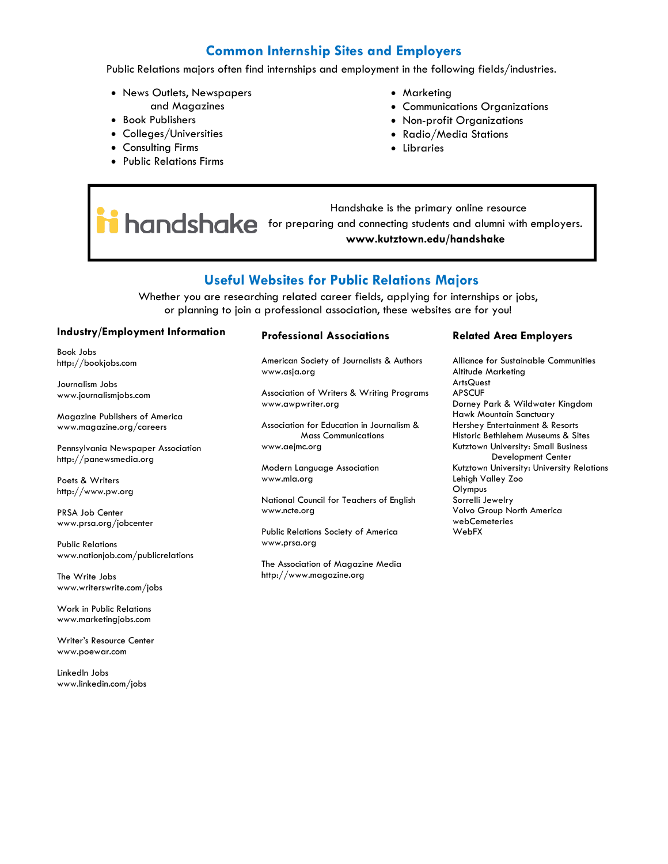### **Common Internship Sites and Employers**

Public Relations majors often find internships and employment in the following fields/industries.

- News Outlets, Newspapers and Magazines
- Book Publishers
- Colleges/Universities
- Consulting Firms
- Public Relations Firms
- Marketing
- Communications Organizations
- Non-profit Organizations
- Radio/Media Stations
- Libraries

 Handshake is the primary online resource **he had alumni with employers.** The proparing and connecting students and alumni with employers. **www.kutztown.edu/handshake**

### **Useful Websites for Public Relations Majors**

Whether you are researching related career fields, applying for internships or jobs, or planning to join a professional association, these websites are for you!

#### **Industry/Employment Information**

Book Jobs http://bookjobs.com

Journalism Jobs www.journalismjobs.com

Magazine Publishers of America www.magazine.org/careers

Pennsylvania Newspaper Association http://panewsmedia.org

Poets & Writers http://www.pw.org

PRSA Job Center www.prsa.org/jobcenter

Public Relations www.nationjob.com/publicrelations

The Write Jobs www.writerswrite.com/jobs

Work in Public Relations www.marketingjobs.com

Writer's Resource Center www.poewar.com

LinkedIn Jobs www.linkedin.com/jobs

#### **Professional Associations**

American Society of Journalists & Authors www.asja.org

Association of Writers & Writing Programs www.awpwriter.org

Association for Education in Journalism & Mass Communications www.aejmc.org

Modern Language Association www.mla.org

National Council for Teachers of English www.ncte.org

Public Relations Society of America www.prsa.org

The Association of Magazine Media http://www.magazine.org

#### **Related Area Employers**

Alliance for Sustainable Communities Altitude Marketing **ArtsQuest** APSCUF Dorney Park & Wildwater Kingdom Hawk Mountain Sanctuary Hershey Entertainment & Resorts Historic Bethlehem Museums & Sites Kutztown University: Small Business Development Center Kutztown University: University Relations Lehigh Valley Zoo Olympus Sorrelli Jewelry Volvo Group North America webCemeteries WebFX